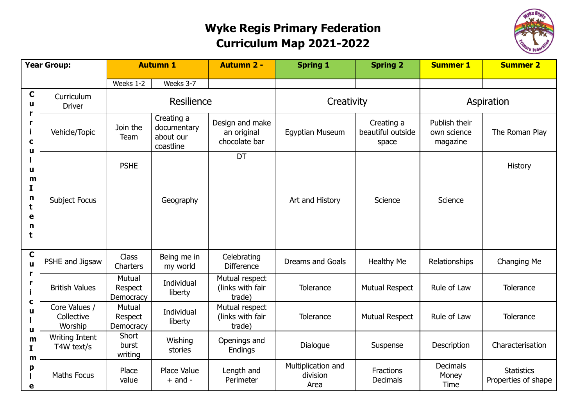## **Wyke Regis Primary Federation Curriculum Map 2021-2022**



| <b>Year Group:</b>                                                                 |                                        | <b>Autumn 1</b>                |                                                     | <b>Autumn 2 -</b>                               | <b>Spring 1</b>                        | <b>Spring 2</b>                          | <b>Summer 1</b>                          | <b>Summer 2</b>                          |
|------------------------------------------------------------------------------------|----------------------------------------|--------------------------------|-----------------------------------------------------|-------------------------------------------------|----------------------------------------|------------------------------------------|------------------------------------------|------------------------------------------|
|                                                                                    |                                        | Weeks 1-2                      | Weeks 3-7                                           |                                                 |                                        |                                          |                                          |                                          |
| $\mathbf C$<br>u<br>r<br>r<br>j.<br>C<br>u<br>u<br>m<br>I<br>n<br>t<br>е<br>n<br>t | Curriculum<br><b>Driver</b>            |                                | Resilience                                          |                                                 | Creativity                             |                                          | Aspiration                               |                                          |
|                                                                                    | Vehicle/Topic                          | Join the<br>Team               | Creating a<br>documentary<br>about our<br>coastline | Design and make<br>an original<br>chocolate bar | <b>Egyptian Museum</b>                 | Creating a<br>beautiful outside<br>space | Publish their<br>own science<br>magazine | The Roman Play                           |
|                                                                                    | Subject Focus                          | <b>PSHE</b>                    | Geography                                           | DT                                              | Art and History                        | Science                                  | Science                                  | History                                  |
|                                                                                    |                                        |                                |                                                     |                                                 |                                        |                                          |                                          |                                          |
| $\mathbf C$<br>u<br>r<br>r<br>C<br>u<br>u<br>m<br>I.<br>m<br>p<br>е                | PSHE and Jigsaw                        | <b>Class</b><br>Charters       | Being me in<br>my world                             | Celebrating<br><b>Difference</b>                | Dreams and Goals                       | <b>Healthy Me</b>                        | Relationships                            | Changing Me                              |
|                                                                                    | <b>British Values</b>                  | Mutual<br>Respect<br>Democracy | Individual<br>liberty                               | Mutual respect<br>(links with fair<br>trade)    | Tolerance                              | <b>Mutual Respect</b>                    | Rule of Law                              | Tolerance                                |
|                                                                                    | Core Values /<br>Collective<br>Worship | Mutual<br>Respect<br>Democracy | Individual<br>liberty                               | Mutual respect<br>(links with fair<br>trade)    | Tolerance                              | <b>Mutual Respect</b>                    | Rule of Law                              | Tolerance                                |
|                                                                                    | <b>Writing Intent</b><br>T4W text/s    | Short<br>burst<br>writing      | Wishing<br>stories                                  | Openings and<br>Endings                         | Dialogue                               | Suspense                                 | Description                              | Characterisation                         |
|                                                                                    | <b>Maths Focus</b>                     | Place<br>value                 | Place Value<br>$+$ and $-$                          | Length and<br>Perimeter                         | Multiplication and<br>division<br>Area | Fractions<br>Decimals                    | <b>Decimals</b><br>Money<br>Time         | <b>Statistics</b><br>Properties of shape |